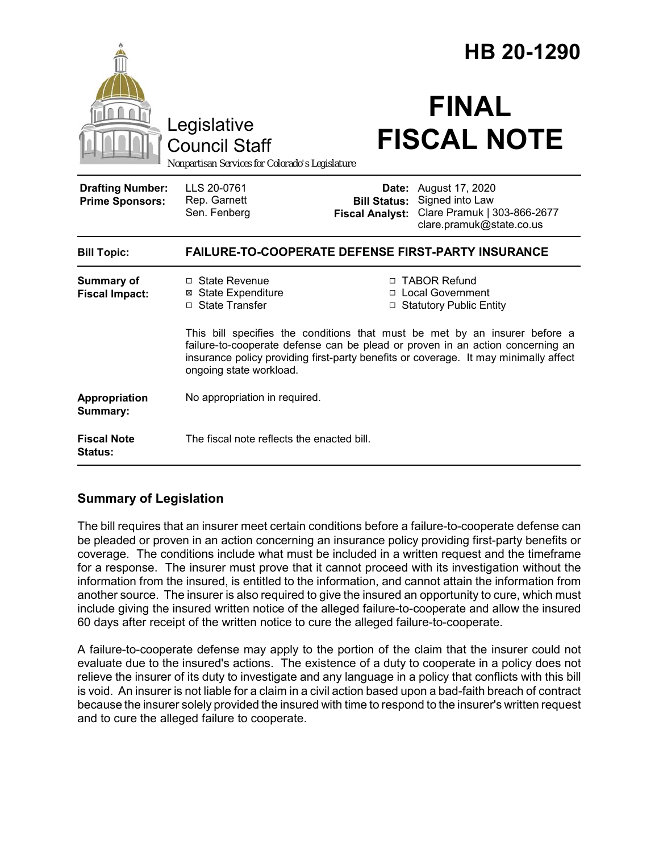|                                                   |                                                                                                                                                                                                                                                                                 | HB 20-1290                      |                                                                                                                   |
|---------------------------------------------------|---------------------------------------------------------------------------------------------------------------------------------------------------------------------------------------------------------------------------------------------------------------------------------|---------------------------------|-------------------------------------------------------------------------------------------------------------------|
|                                                   | Legislative<br><b>Council Staff</b><br>Nonpartisan Services for Colorado's Legislature                                                                                                                                                                                          |                                 | <b>FINAL</b><br><b>FISCAL NOTE</b>                                                                                |
| <b>Drafting Number:</b><br><b>Prime Sponsors:</b> | LLS 20-0761<br>Rep. Garnett<br>Sen. Fenberg                                                                                                                                                                                                                                     | Date:<br><b>Fiscal Analyst:</b> | August 17, 2020<br><b>Bill Status:</b> Signed into Law<br>Clare Pramuk   303-866-2677<br>clare.pramuk@state.co.us |
| <b>Bill Topic:</b>                                | <b>FAILURE-TO-COOPERATE DEFENSE FIRST-PARTY INSURANCE</b>                                                                                                                                                                                                                       |                                 |                                                                                                                   |
| <b>Summary of</b><br><b>Fiscal Impact:</b>        | $\Box$ State Revenue<br><b>⊠</b> State Expenditure<br>□ State Transfer                                                                                                                                                                                                          |                                 | □ TABOR Refund<br>□ Local Government<br>□ Statutory Public Entity                                                 |
|                                                   | This bill specifies the conditions that must be met by an insurer before a<br>failure-to-cooperate defense can be plead or proven in an action concerning an<br>insurance policy providing first-party benefits or coverage. It may minimally affect<br>ongoing state workload. |                                 |                                                                                                                   |
| Appropriation<br>Summary:                         | No appropriation in required.                                                                                                                                                                                                                                                   |                                 |                                                                                                                   |
| <b>Fiscal Note</b><br><b>Status:</b>              | The fiscal note reflects the enacted bill.                                                                                                                                                                                                                                      |                                 |                                                                                                                   |

## **Summary of Legislation**

The bill requires that an insurer meet certain conditions before a failure-to-cooperate defense can be pleaded or proven in an action concerning an insurance policy providing first-party benefits or coverage. The conditions include what must be included in a written request and the timeframe for a response. The insurer must prove that it cannot proceed with its investigation without the information from the insured, is entitled to the information, and cannot attain the information from another source. The insurer is also required to give the insured an opportunity to cure, which must include giving the insured written notice of the alleged failure-to-cooperate and allow the insured 60 days after receipt of the written notice to cure the alleged failure-to-cooperate.

A failure-to-cooperate defense may apply to the portion of the claim that the insurer could not evaluate due to the insured's actions. The existence of a duty to cooperate in a policy does not relieve the insurer of its duty to investigate and any language in a policy that conflicts with this bill is void. An insurer is not liable for a claim in a civil action based upon a bad-faith breach of contract because the insurer solely provided the insured with time to respond to the insurer's written request and to cure the alleged failure to cooperate.